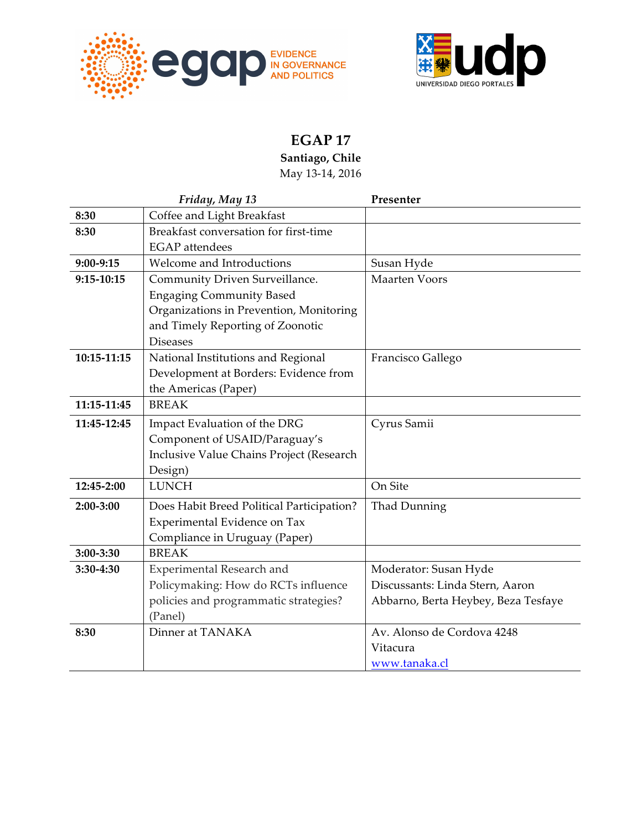



## **EGAP 17**

**Santiago, Chile** May 13-14, 2016

|              | Friday, May 13                            | Presenter                           |
|--------------|-------------------------------------------|-------------------------------------|
| 8:30         | Coffee and Light Breakfast                |                                     |
| 8:30         | Breakfast conversation for first-time     |                                     |
|              | <b>EGAP</b> attendees                     |                                     |
| 9:00-9:15    | Welcome and Introductions                 | Susan Hyde                          |
| $9:15-10:15$ | Community Driven Surveillance.            | <b>Maarten Voors</b>                |
|              | <b>Engaging Community Based</b>           |                                     |
|              | Organizations in Prevention, Monitoring   |                                     |
|              | and Timely Reporting of Zoonotic          |                                     |
|              | <b>Diseases</b>                           |                                     |
| 10:15-11:15  | National Institutions and Regional        | Francisco Gallego                   |
|              | Development at Borders: Evidence from     |                                     |
|              | the Americas (Paper)                      |                                     |
| 11:15-11:45  | <b>BREAK</b>                              |                                     |
| 11:45-12:45  | Impact Evaluation of the DRG              | Cyrus Samii                         |
|              | Component of USAID/Paraguay's             |                                     |
|              | Inclusive Value Chains Project (Research  |                                     |
|              | Design)                                   |                                     |
| 12:45-2:00   | <b>LUNCH</b>                              | On Site                             |
| 2:00-3:00    | Does Habit Breed Political Participation? | Thad Dunning                        |
|              | Experimental Evidence on Tax              |                                     |
|              | Compliance in Uruguay (Paper)             |                                     |
| 3:00-3:30    | <b>BREAK</b>                              |                                     |
| 3:30-4:30    | Experimental Research and                 | Moderator: Susan Hyde               |
|              | Policymaking: How do RCTs influence       | Discussants: Linda Stern, Aaron     |
|              | policies and programmatic strategies?     | Abbarno, Berta Heybey, Beza Tesfaye |
|              | (Panel)                                   |                                     |
| 8:30         | Dinner at TANAKA                          | Av. Alonso de Cordova 4248          |
|              |                                           | Vitacura                            |
|              |                                           | www.tanaka.cl                       |